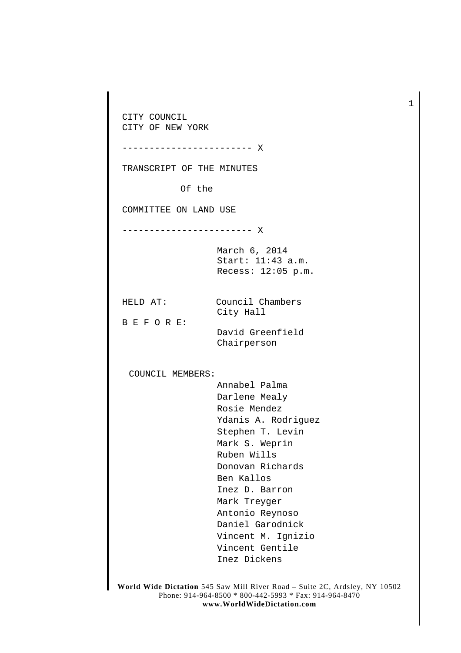CITY COUNCIL CITY OF NEW YORK ------------------------ X TRANSCRIPT OF THE MINUTES Of the COMMITTEE ON LAND USE ------------------------ X March 6, 2014 Start: 11:43 a.m. Recess: 12:05 p.m. HELD AT: Council Chambers City Hall B E F O R E: David Greenfield Chairperson COUNCIL MEMBERS: Annabel Palma Darlene Mealy Rosie Mendez Ydanis A. Rodriguez Stephen T. Levin Mark S. Weprin Ruben Wills Donovan Richards Ben Kallos Inez D. Barron Mark Treyger Antonio Reynoso Daniel Garodnick Vincent M. Ignizio Vincent Gentile Inez Dickens

**World Wide Dictation** 545 Saw Mill River Road – Suite 2C, Ardsley, NY 10502 Phone: 914-964-8500 \* 800-442-5993 \* Fax: 914-964-8470 **www.WorldWideDictation.com**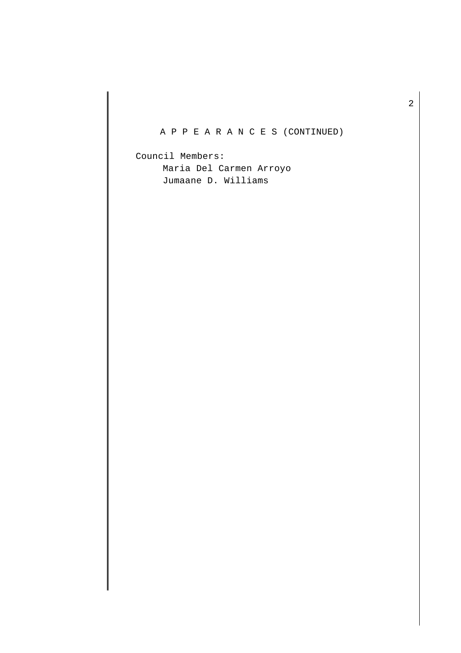# A P P E A R A N C E S (CONTINUED)

Council Members: Maria Del Carmen Arroyo Jumaane D. Williams

2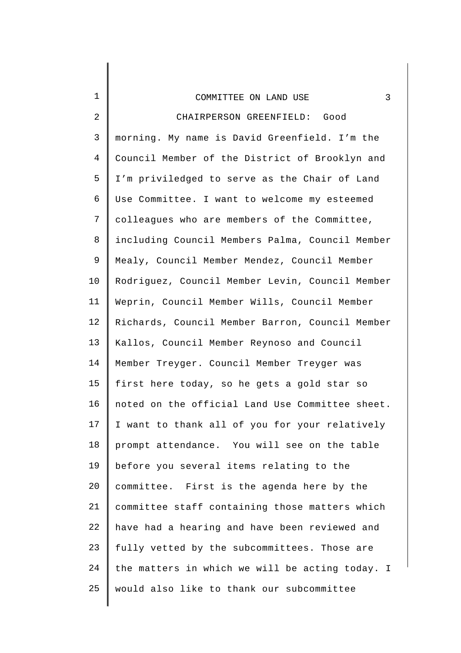| $\mathbf 1$  | 3<br>COMMITTEE ON LAND USE                      |
|--------------|-------------------------------------------------|
| $\mathbf{2}$ | CHAIRPERSON GREENFIELD: Good                    |
| 3            | morning. My name is David Greenfield. I'm the   |
| 4            | Council Member of the District of Brooklyn and  |
| 5            | I'm priviledged to serve as the Chair of Land   |
| 6            | Use Committee. I want to welcome my esteemed    |
| 7            | colleagues who are members of the Committee,    |
| 8            | including Council Members Palma, Council Member |
| 9            | Mealy, Council Member Mendez, Council Member    |
| $10 \,$      | Rodriguez, Council Member Levin, Council Member |
| 11           | Weprin, Council Member Wills, Council Member    |
| 12           | Richards, Council Member Barron, Council Member |
| 13           | Kallos, Council Member Reynoso and Council      |
| 14           | Member Treyger. Council Member Treyger was      |
| 15           | first here today, so he gets a gold star so     |
| 16           | noted on the official Land Use Committee sheet. |
| 17           | I want to thank all of you for your relatively  |
| 18           | prompt attendance. You will see on the table    |
| 19           | before you several items relating to the        |
| 20           | committee. First is the agenda here by the      |
| 21           | committee staff containing those matters which  |
| 22           | have had a hearing and have been reviewed and   |
| 23           | fully vetted by the subcommittees. Those are    |
| 24           | the matters in which we will be acting today. I |
| 25           | would also like to thank our subcommittee       |
|              |                                                 |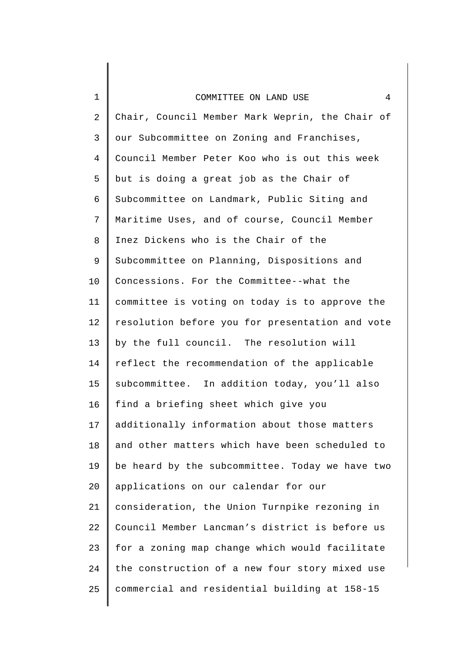### COMMITTEE ON LAND USE 4

1

2 3 4 5 6 7 8 9 10 11 12 13 14 15 16 17 18 19 20 21 22 23 24 25 Chair, Council Member Mark Weprin, the Chair of our Subcommittee on Zoning and Franchises, Council Member Peter Koo who is out this week but is doing a great job as the Chair of Subcommittee on Landmark, Public Siting and Maritime Uses, and of course, Council Member Inez Dickens who is the Chair of the Subcommittee on Planning, Dispositions and Concessions. For the Committee--what the committee is voting on today is to approve the resolution before you for presentation and vote by the full council. The resolution will reflect the recommendation of the applicable subcommittee. In addition today, you'll also find a briefing sheet which give you additionally information about those matters and other matters which have been scheduled to be heard by the subcommittee. Today we have two applications on our calendar for our consideration, the Union Turnpike rezoning in Council Member Lancman's district is before us for a zoning map change which would facilitate the construction of a new four story mixed use commercial and residential building at 158-15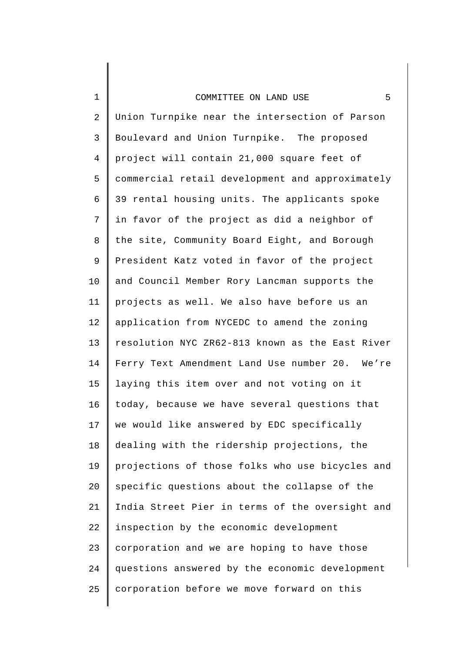### COMMITTEE ON LAND USE 5

1

2 3 4 5 6 7 8 9 10 11 12 13 14 15 16 17 18 19 20 21 22 23 24 25 Union Turnpike near the intersection of Parson Boulevard and Union Turnpike. The proposed project will contain 21,000 square feet of commercial retail development and approximately 39 rental housing units. The applicants spoke in favor of the project as did a neighbor of the site, Community Board Eight, and Borough President Katz voted in favor of the project and Council Member Rory Lancman supports the projects as well. We also have before us an application from NYCEDC to amend the zoning resolution NYC ZR62-813 known as the East River Ferry Text Amendment Land Use number 20. We're laying this item over and not voting on it today, because we have several questions that we would like answered by EDC specifically dealing with the ridership projections, the projections of those folks who use bicycles and specific questions about the collapse of the India Street Pier in terms of the oversight and inspection by the economic development corporation and we are hoping to have those questions answered by the economic development corporation before we move forward on this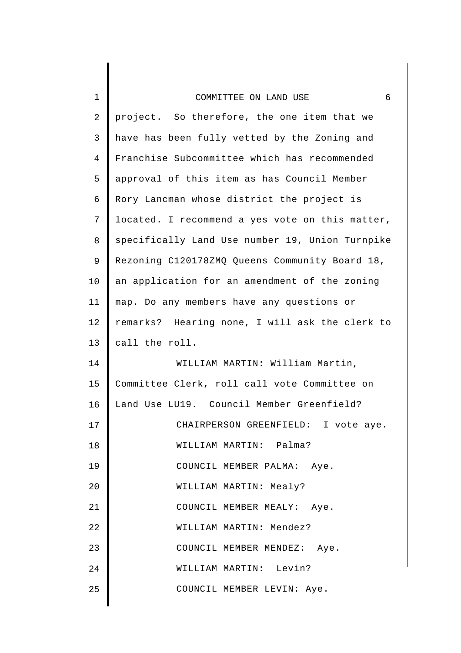## COMMITTEE ON LAND USE 6

1

| $\overline{2}$ | project. So therefore, the one item that we     |
|----------------|-------------------------------------------------|
| 3              | have has been fully vetted by the Zoning and    |
| $\overline{4}$ | Franchise Subcommittee which has recommended    |
| 5              | approval of this item as has Council Member     |
| 6              | Rory Lancman whose district the project is      |
| 7              | located. I recommend a yes vote on this matter, |
| 8              | specifically Land Use number 19, Union Turnpike |
| 9              | Rezoning C120178ZMQ Queens Community Board 18,  |
| 10             | an application for an amendment of the zoning   |
| 11             | map. Do any members have any questions or       |
| 12             | remarks? Hearing none, I will ask the clerk to  |
| 13             | call the roll.                                  |
| 14             | WILLIAM MARTIN: William Martin,                 |
| 15             | Committee Clerk, roll call vote Committee on    |
| 16             | Land Use LU19. Council Member Greenfield?       |
| 17             | CHAIRPERSON GREENFIELD: I vote aye.             |
| 18             | WILLIAM MARTIN: Palma?                          |
| 19             | COUNCIL MEMBER PALMA: Aye.                      |
| 20             | WILLIAM MARTIN: Mealy?                          |
| 21             | COUNCIL MEMBER MEALY: Aye.                      |
| 22             | WILLIAM MARTIN: Mendez?                         |
| 23             | COUNCIL MEMBER MENDEZ: Aye.                     |
| 24             | WILLIAM MARTIN: Levin?                          |
| 25             | COUNCIL MEMBER LEVIN: Aye.                      |
|                |                                                 |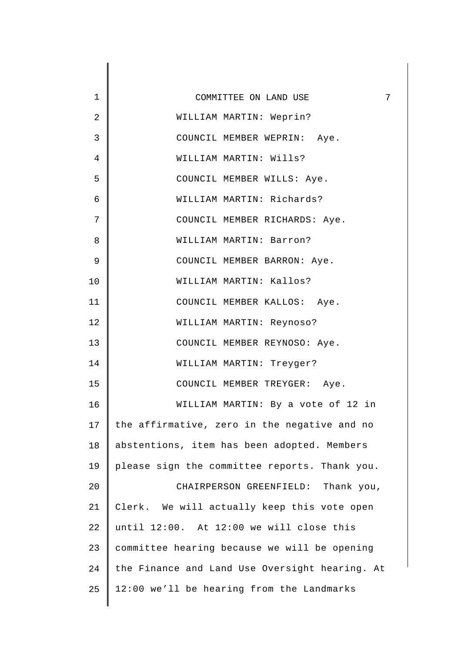| 1              | 7<br>COMMITTEE ON LAND USE                     |
|----------------|------------------------------------------------|
| $\overline{2}$ | WILLIAM MARTIN: Weprin?                        |
| 3              | COUNCIL MEMBER WEPRIN: Aye.                    |
| 4              | WILLIAM MARTIN: Wills?                         |
| 5              | COUNCIL MEMBER WILLS: Aye.                     |
| 6              | WILLIAM MARTIN: Richards?                      |
| 7              | COUNCIL MEMBER RICHARDS: Aye.                  |
| 8              | WILLIAM MARTIN: Barron?                        |
| 9              | COUNCIL MEMBER BARRON: Aye.                    |
| 10             | WILLIAM MARTIN: Kallos?                        |
| 11             | COUNCIL MEMBER KALLOS: Aye.                    |
| 12             | WILLIAM MARTIN: Reynoso?                       |
| 13             | COUNCIL MEMBER REYNOSO: Aye.                   |
| 14             | WILLIAM MARTIN: Treyger?                       |
| 15             | COUNCIL MEMBER TREYGER: Aye.                   |
| 16             | WILLIAM MARTIN: By a vote of 12 in             |
| 17             | the affirmative, zero in the negative and no   |
| 18             | abstentions, item has been adopted. Members    |
| 19             | please sign the committee reports. Thank you.  |
| 20             | CHAIRPERSON GREENFIELD: Thank you,             |
| 21             | Clerk. We will actually keep this vote open    |
| 22             | until 12:00. At 12:00 we will close this       |
| 23             | committee hearing because we will be opening   |
| 24             | the Finance and Land Use Oversight hearing. At |
| 25             | 12:00 we'll be hearing from the Landmarks      |
|                |                                                |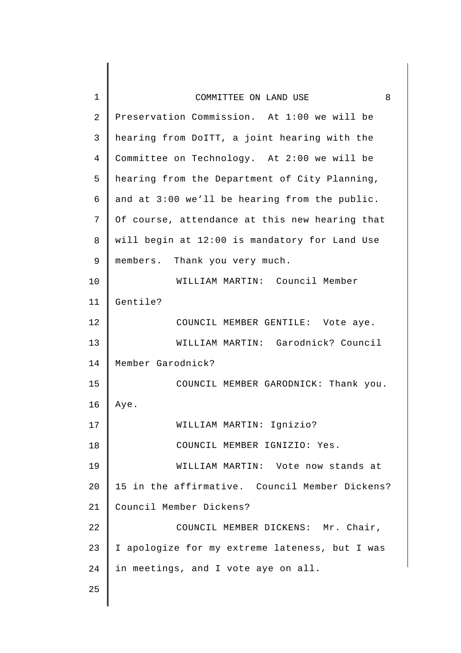| $\mathbf 1$    | 8<br>COMMITTEE ON LAND USE                     |
|----------------|------------------------------------------------|
| $\overline{2}$ | Preservation Commission. At 1:00 we will be    |
| 3              | hearing from DoITT, a joint hearing with the   |
| $\overline{4}$ | Committee on Technology. At 2:00 we will be    |
| 5              | hearing from the Department of City Planning,  |
| 6              | and at 3:00 we'll be hearing from the public.  |
| 7              | Of course, attendance at this new hearing that |
| 8              | will begin at 12:00 is mandatory for Land Use  |
| 9              | members. Thank you very much.                  |
| 10             | WILLIAM MARTIN: Council Member                 |
| 11             | Gentile?                                       |
| 12             | COUNCIL MEMBER GENTILE: Vote aye.              |
| 13             | WILLIAM MARTIN: Garodnick? Council             |
| 14             | Member Garodnick?                              |
| 15             | COUNCIL MEMBER GARODNICK: Thank you.           |
| 16             | Aye.                                           |
| 17             | WILLIAM MARTIN: Ignizio?                       |
| 18             | COUNCIL MEMBER IGNIZIO: Yes.                   |
| 19             | WILLIAM MARTIN: Vote now stands at             |
| 20             | 15 in the affirmative. Council Member Dickens? |
| 21             | Council Member Dickens?                        |
| 22             | COUNCIL MEMBER DICKENS: Mr. Chair,             |
| 23             | I apologize for my extreme lateness, but I was |
| 24             | in meetings, and I vote aye on all.            |
| 25             |                                                |
|                |                                                |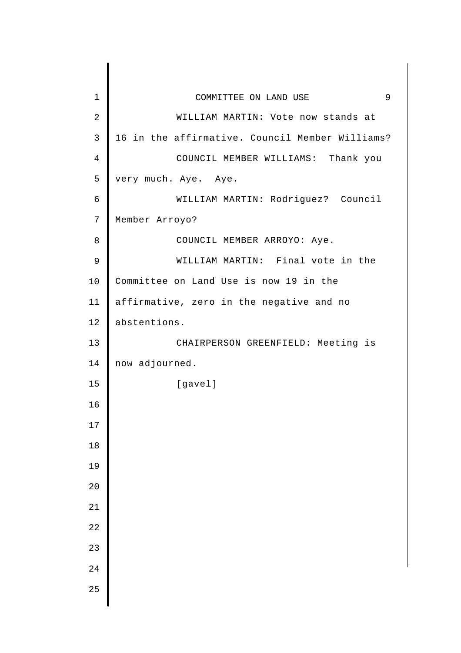| $\mathbf 1$    | 9<br>COMMITTEE ON LAND USE                      |
|----------------|-------------------------------------------------|
| $\overline{2}$ | WILLIAM MARTIN: Vote now stands at              |
| $\mathbf{3}$   | 16 in the affirmative. Council Member Williams? |
| $\overline{4}$ | COUNCIL MEMBER WILLIAMS: Thank you              |
| 5              | very much. Aye. Aye.                            |
| 6              | WILLIAM MARTIN: Rodriguez? Council              |
| 7              | Member Arroyo?                                  |
| 8              | COUNCIL MEMBER ARROYO: Aye.                     |
| $\mathsf 9$    | WILLIAM MARTIN: Final vote in the               |
| 10             | Committee on Land Use is now 19 in the          |
| 11             | affirmative, zero in the negative and no        |
| 12             | abstentions.                                    |
| 13             | CHAIRPERSON GREENFIELD: Meeting is              |
| 14             | now adjourned.                                  |
| 15             | [gavel]                                         |
| 16             |                                                 |
| $17\,$         |                                                 |
| $18\,$         |                                                 |
| 19             |                                                 |
| 20             |                                                 |
| 21             |                                                 |
| 22             |                                                 |
| 23             |                                                 |
| $2\sqrt{4}$    |                                                 |
| 25             |                                                 |